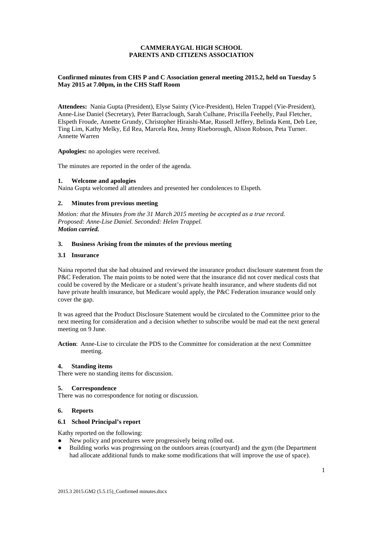## **CAMMERAYGAL HIGH SCHOOL PARENTS AND CITIZENS ASSOCIATION**

## **Confirmed minutes from CHS P and C Association general meeting 2015.2, held on Tuesday 5 May 2015 at 7.00pm, in the CHS Staff Room**

**Attendees:** Nania Gupta (President), Elyse Sainty (Vice-President), Helen Trappel (Vie-President), Anne-Lise Daniel (Secretary), Peter Barraclough, Sarah Culhane, Priscilla Feehelly, Paul Fletcher, Elspeth Froude, Annette Grundy, Christopher Hiraishi-Mae, Russell Jeffery, Belinda Kent, Deb Lee, Ting Lim, Kathy Melky, Ed Rea, Marcela Rea, Jenny Riseborough, Alison Robson, Peta Turner. Annette Warren

**Apologies:** no apologies were received.

The minutes are reported in the order of the agenda.

## **1. Welcome and apologies**

Naina Gupta welcomed all attendees and presented her condolences to Elspeth.

## **2. Minutes from previous meeting**

*Motion: that the Minutes from the 31 March 2015 meeting be accepted as a true record. Proposed: Anne-Lise Daniel. Seconded: Helen Trappel. Motion carried.*

## **3. Business Arising from the minutes of the previous meeting**

#### **3.1 Insurance**

Naina reported that she had obtained and reviewed the insurance product disclosure statement from the P&C Federation. The main points to be noted were that the insurance did not cover medical costs that could be covered by the Medicare or a student's private health insurance, and where students did not have private health insurance, but Medicare would apply, the P&C Federation insurance would only cover the gap.

It was agreed that the Product Disclosure Statement would be circulated to the Committee prior to the next meeting for consideration and a decision whether to subscribe would be mad eat the next general meeting on 9 June.

**Action**: Anne-Lise to circulate the PDS to the Committee for consideration at the next Committee meeting.

# **4. Standing items**

There were no standing items for discussion.

#### **5. Correspondence**

There was no correspondence for noting or discussion.

#### **6. Reports**

## **6.1 School Principal's report**

Kathy reported on the following:

- New policy and procedures were progressively being rolled out.<br>• Building works was progressing on the outdoors areas (courtyare
- Building works was progressing on the outdoors areas (courtyard) and the gym (the Department had allocate additional funds to make some modifications that will improve the use of space).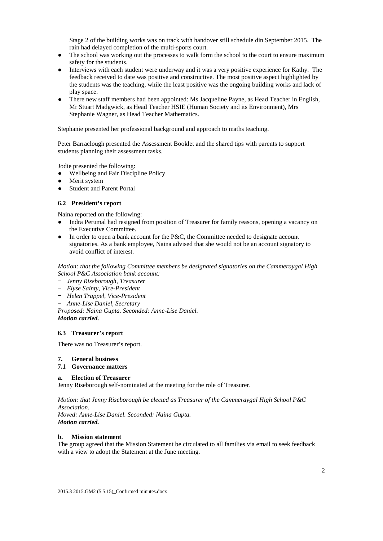Stage 2 of the building works was on track with handover still schedule din September 2015. The rain had delayed completion of the multi-sports court.

- The school was working out the processes to walk form the school to the court to ensure maximum safety for the students.
- Interviews with each student were underway and it was a very positive experience for Kathy. The feedback received to date was positive and constructive. The most positive aspect highlighted by the students was the teaching, while the least positive was the ongoing building works and lack of play space.
- There new staff members had been appointed: Ms Jacqueline Payne, as Head Teacher in English, Mr Stuart Madgwick, as Head Teacher HSIE (Human Society and its Environment), Mrs Stephanie Wagner, as Head Teacher Mathematics.

Stephanie presented her professional background and approach to maths teaching.

Peter Barraclough presented the Assessment Booklet and the shared tips with parents to support students planning their assessment tasks.

Jodie presented the following:

- Wellbeing and Fair Discipline Policy
- Merit system
- Student and Parent Portal

## **6.2 President's report**

Naina reported on the following:

- Indra Perumal had resigned from position of Treasurer for family reasons, opening a vacancy on the Executive Committee.
- In order to open a bank account for the P&C, the Committee needed to designate account signatories. As a bank employee, Naina advised that she would not be an account signatory to avoid conflict of interest.

#### *Motion: that the following Committee members be designated signatories on the Cammeraygal High School P&C Association bank account:*

- − *Jenny Riseborough, Treasurer*
- − *Elyse Sainty, Vice-President*
- − *Helen Trappel, Vice-President*
- − *Anne-Lise Daniel, Secretary*

*Proposed: Naina Gupta. Seconded: Anne-Lise Daniel. Motion carried.*

#### **6.3 Treasurer's report**

There was no Treasurer's report.

### **7. General business**

## **7.1 Governance matters**

## **a. Election of Treasurer**

Jenny Riseborough self-nominated at the meeting for the role of Treasurer.

*Motion: that Jenny Riseborough be elected as Treasurer of the Cammeraygal High School P&C Association.*

*Moved: Anne-Lise Daniel. Seconded: Naina Gupta. Motion carried.*

## **b. Mission statement**

The group agreed that the Mission Statement be circulated to all families via email to seek feedback with a view to adopt the Statement at the June meeting.